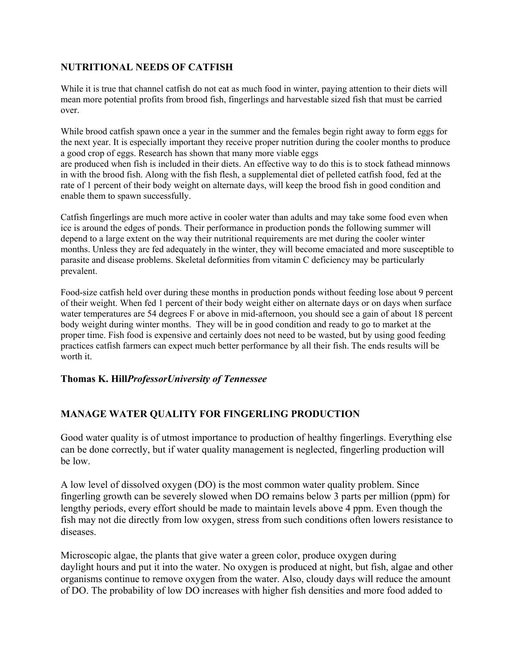## **NUTRITIONAL NEEDS OF CATFISH**

While it is true that channel catfish do not eat as much food in winter, paying attention to their diets will mean more potential profits from brood fish, fingerlings and harvestable sized fish that must be carried over.

While brood catfish spawn once a year in the summer and the females begin right away to form eggs for the next year. It is especially important they receive proper nutrition during the cooler months to produce a good crop of eggs. Research has shown that many more viable eggs are produced when fish is included in their diets. An effective way to do this is to stock fathead minnows in with the brood fish. Along with the fish flesh, a supplemental diet of pelleted catfish food, fed at the rate of 1 percent of their body weight on alternate days, will keep the brood fish in good condition and enable them to spawn successfully.

Catfish fingerlings are much more active in cooler water than adults and may take some food even when ice is around the edges of ponds. Their performance in production ponds the following summer will depend to a large extent on the way their nutritional requirements are met during the cooler winter months. Unless they are fed adequately in the winter, they will become emaciated and more susceptible to parasite and disease problems. Skeletal deformities from vitamin C deficiency may be particularly prevalent.

Food-size catfish held over during these months in production ponds without feeding lose about 9 percent of their weight. When fed 1 percent of their body weight either on alternate days or on days when surface water temperatures are 54 degrees F or above in mid-afternoon, you should see a gain of about 18 percent body weight during winter months. They will be in good condition and ready to go to market at the proper time. Fish food is expensive and certainly does not need to be wasted, but by using good feeding practices catfish farmers can expect much better performance by all their fish. The ends results will be worth it.

## **Thomas K. Hill***ProfessorUniversity of Tennessee*

## **MANAGE WATER QUALITY FOR FINGERLING PRODUCTION**

Good water quality is of utmost importance to production of healthy fingerlings. Everything else can be done correctly, but if water quality management is neglected, fingerling production will be low.

A low level of dissolved oxygen (DO) is the most common water quality problem. Since fingerling growth can be severely slowed when DO remains below 3 parts per million (ppm) for lengthy periods, every effort should be made to maintain levels above 4 ppm. Even though the fish may not die directly from low oxygen, stress from such conditions often lowers resistance to diseases.

Microscopic algae, the plants that give water a green color, produce oxygen during daylight hours and put it into the water. No oxygen is produced at night, but fish, algae and other organisms continue to remove oxygen from the water. Also, cloudy days will reduce the amount of DO. The probability of low DO increases with higher fish densities and more food added to